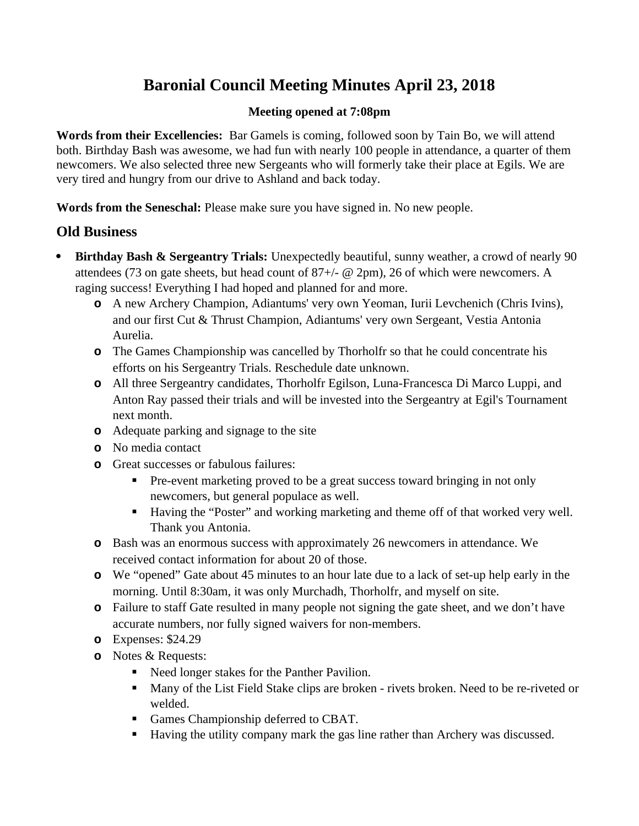# **Baronial Council Meeting Minutes April 23, 2018**

## **Meeting opened at 7:08pm**

**Words from their Excellencies:** Bar Gamels is coming, followed soon by Tain Bo, we will attend both. Birthday Bash was awesome, we had fun with nearly 100 people in attendance, a quarter of them newcomers. We also selected three new Sergeants who will formerly take their place at Egils. We are very tired and hungry from our drive to Ashland and back today.

**Words from the Seneschal:** Please make sure you have signed in. No new people.

## **Old Business**

- **Birthday Bash & Sergeantry Trials:** Unexpectedly beautiful, sunny weather, a crowd of nearly 90 attendees (73 on gate sheets, but head count of  $87+/2$   $\omega$  2pm), 26 of which were newcomers. A raging success! Everything I had hoped and planned for and more.
	- **o** A new Archery Champion, Adiantums' very own Yeoman, Iurii Levchenich (Chris Ivins), and our first Cut & Thrust Champion, Adiantums' very own Sergeant, Vestia Antonia Aurelia.
	- **o** The Games Championship was cancelled by Thorholfr so that he could concentrate his efforts on his Sergeantry Trials. Reschedule date unknown.
	- **o** All three Sergeantry candidates, Thorholfr Egilson, Luna-Francesca Di Marco Luppi, and Anton Ray passed their trials and will be invested into the Sergeantry at Egil's Tournament next month.
	- **o** Adequate parking and signage to the site
	- **o** No media contact
	- **o** Great successes or fabulous failures:
		- **Pre-event marketing proved to be a great success toward bringing in not only** newcomers, but general populace as well.
		- Having the "Poster" and working marketing and theme off of that worked very well. Thank you Antonia.
	- **o** Bash was an enormous success with approximately 26 newcomers in attendance. We received contact information for about 20 of those.
	- **o** We "opened" Gate about 45 minutes to an hour late due to a lack of set-up help early in the morning. Until 8:30am, it was only Murchadh, Thorholfr, and myself on site.
	- **o** Failure to staff Gate resulted in many people not signing the gate sheet, and we don't have accurate numbers, nor fully signed waivers for non-members.
	- **o** Expenses: \$24.29
	- **o** Notes & Requests:
		- Need longer stakes for the Panther Pavilion.
		- **Many of the List Field Stake clips are broken rivets broken. Need to be re-riveted or** welded.
		- Games Championship deferred to CBAT.
		- Having the utility company mark the gas line rather than Archery was discussed.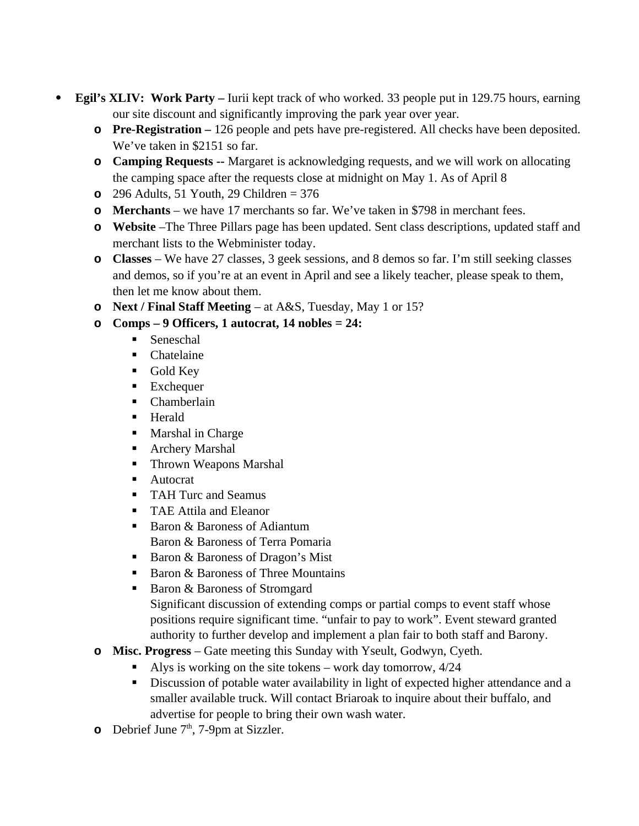- **Egil's XLIV: Work Party** Iurii kept track of who worked. 33 people put in 129.75 hours, earning our site discount and significantly improving the park year over year.
	- **o Pre-Registration** 126 people and pets have pre-registered. All checks have been deposited. We've taken in \$2151 so far.
	- **o Camping Requests --** Margaret is acknowledging requests, and we will work on allocating the camping space after the requests close at midnight on May 1. As of April 8
	- **o** 296 Adults, 51 Youth, 29 Children = 376
	- **o Merchants** we have 17 merchants so far. We've taken in \$798 in merchant fees.
	- **o Website** –The Three Pillars page has been updated. Sent class descriptions, updated staff and merchant lists to the Webminister today.
	- **o Classes** We have 27 classes, 3 geek sessions, and 8 demos so far. I'm still seeking classes and demos, so if you're at an event in April and see a likely teacher, please speak to them, then let me know about them.
	- **o Next / Final Staff Meeting** at A&S, Tuesday, May 1 or 15?
	- **o Comps 9 Officers, 1 autocrat, 14 nobles = 24:**
		- **Seneschal**
		- **Chatelaine**
		- Gold Key
		- **Exchequer**
		- Chamberlain
		- **Herald**
		- **Marshal in Charge**
		- Archery Marshal
		- **Thrown Weapons Marshal**
		- Autocrat
		- TAH Turc and Seamus
		- **TAE Attila and Eleanor**
		- Baron & Baroness of Adiantum Baron & Baroness of Terra Pomaria
		- Baron & Baroness of Dragon's Mist
		- Baron & Baroness of Three Mountains
		- Baron & Baroness of Stromgard Significant discussion of extending comps or partial comps to event staff whose positions require significant time. "unfair to pay to work". Event steward granted authority to further develop and implement a plan fair to both staff and Barony.
	- **o Misc. Progress** Gate meeting this Sunday with Yseult, Godwyn, Cyeth.
		- Alys is working on the site tokens work day tomorrow,  $4/24$
		- **•** Discussion of potable water availability in light of expected higher attendance and a smaller available truck. Will contact Briaroak to inquire about their buffalo, and advertise for people to bring their own wash water.
	- **o** Debrief June 7<sup>th</sup>, 7-9pm at Sizzler.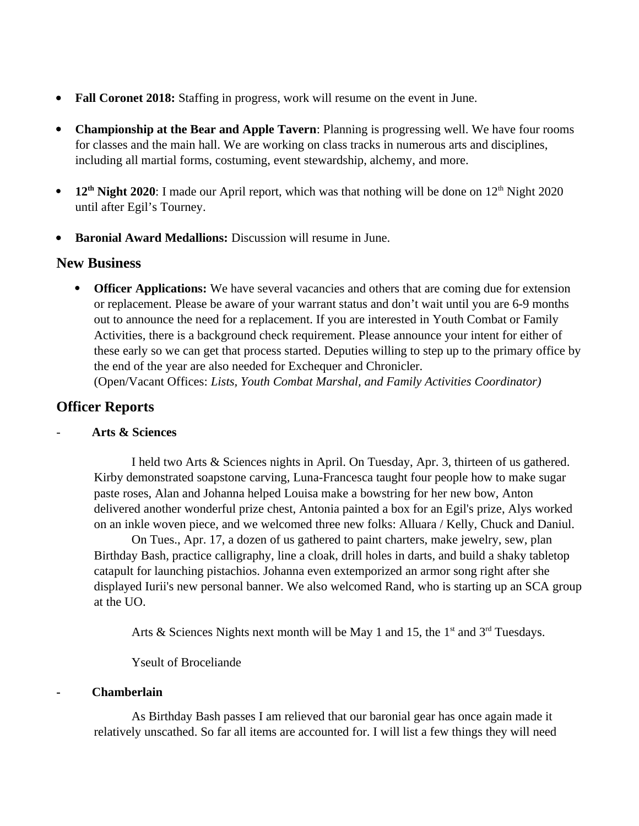- **Fall Coronet 2018:** Staffing in progress, work will resume on the event in June.
- **Championship at the Bear and Apple Tavern**: Planning is progressing well. We have four rooms for classes and the main hall. We are working on class tracks in numerous arts and disciplines, including all martial forms, costuming, event stewardship, alchemy, and more.
- 12<sup>th</sup> Night 2020: I made our April report, which was that nothing will be done on 12<sup>th</sup> Night 2020 until after Egil's Tourney.
- **Baronial Award Medallions:** Discussion will resume in June.

## **New Business**

 **Officer Applications:** We have several vacancies and others that are coming due for extension or replacement. Please be aware of your warrant status and don't wait until you are 6-9 months out to announce the need for a replacement. If you are interested in Youth Combat or Family Activities, there is a background check requirement. Please announce your intent for either of these early so we can get that process started. Deputies willing to step up to the primary office by the end of the year are also needed for Exchequer and Chronicler.

(Open/Vacant Offices: *Lists, Youth Combat Marshal, and Family Activities Coordinator)*

## **Officer Reports**

## - **Arts & Sciences**

I held two Arts & Sciences nights in April. On Tuesday, Apr. 3, thirteen of us gathered. Kirby demonstrated soapstone carving, Luna-Francesca taught four people how to make sugar paste roses, Alan and Johanna helped Louisa make a bowstring for her new bow, Anton delivered another wonderful prize chest, Antonia painted a box for an Egil's prize, Alys worked on an inkle woven piece, and we welcomed three new folks: Alluara / Kelly, Chuck and Daniul.

On Tues., Apr. 17, a dozen of us gathered to paint charters, make jewelry, sew, plan Birthday Bash, practice calligraphy, line a cloak, drill holes in darts, and build a shaky tabletop catapult for launching pistachios. Johanna even extemporized an armor song right after she displayed Iurii's new personal banner. We also welcomed Rand, who is starting up an SCA group at the UO.

Arts & Sciences Nights next month will be May 1 and 15, the  $1<sup>st</sup>$  and  $3<sup>rd</sup>$  Tuesdays.

Yseult of Broceliande

## **- Chamberlain**

As Birthday Bash passes I am relieved that our baronial gear has once again made it relatively unscathed. So far all items are accounted for. I will list a few things they will need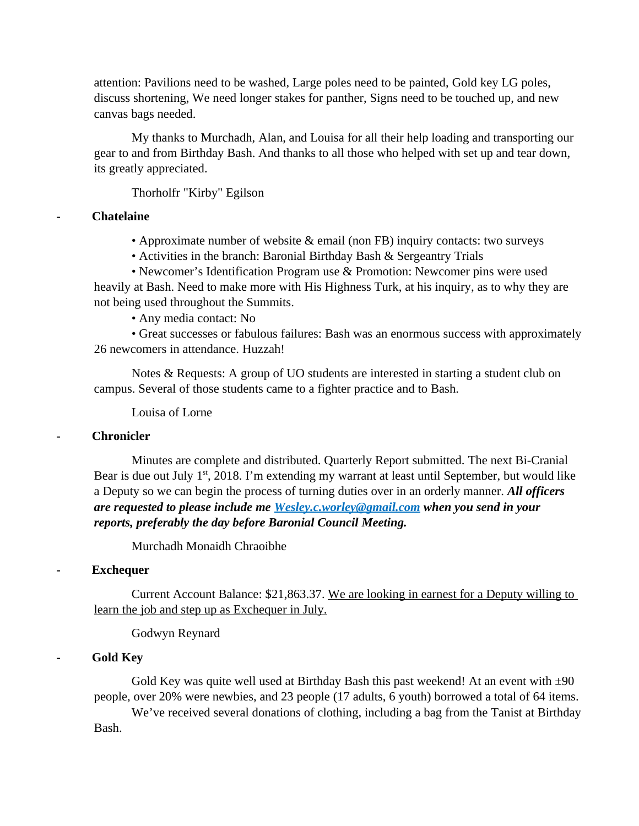attention: Pavilions need to be washed, Large poles need to be painted, Gold key LG poles, discuss shortening, We need longer stakes for panther, Signs need to be touched up, and new canvas bags needed.

My thanks to Murchadh, Alan, and Louisa for all their help loading and transporting our gear to and from Birthday Bash. And thanks to all those who helped with set up and tear down, its greatly appreciated.

Thorholfr "Kirby" Egilson

## **- Chatelaine**

• Approximate number of website & email (non FB) inquiry contacts: two surveys

• Activities in the branch: Baronial Birthday Bash & Sergeantry Trials

• Newcomer's Identification Program use & Promotion: Newcomer pins were used heavily at Bash. Need to make more with His Highness Turk, at his inquiry, as to why they are not being used throughout the Summits.

• Any media contact: No

• Great successes or fabulous failures: Bash was an enormous success with approximately 26 newcomers in attendance. Huzzah!

Notes & Requests: A group of UO students are interested in starting a student club on campus. Several of those students came to a fighter practice and to Bash.

Louisa of Lorne

## **- Chronicler**

Minutes are complete and distributed. Quarterly Report submitted. The next Bi-Cranial Bear is due out July  $1<sup>st</sup>$ , 2018. I'm extending my warrant at least until September, but would like a Deputy so we can begin the process of turning duties over in an orderly manner. *All officers are requested to please include me [Wesley.c.worley@gmail.com](mailto:Wesley.c.worley@gmail.com) when you send in your reports, preferably the day before Baronial Council Meeting.* 

Murchadh Monaidh Chraoibhe

## **- Exchequer**

Current Account Balance: \$21,863.37. We are looking in earnest for a Deputy willing to learn the job and step up as Exchequer in July.

Godwyn Reynard

## **- Gold Key**

Gold Key was quite well used at Birthday Bash this past weekend! At an event with  $\pm 90$ people, over 20% were newbies, and 23 people (17 adults, 6 youth) borrowed a total of 64 items.

We've received several donations of clothing, including a bag from the Tanist at Birthday Bash.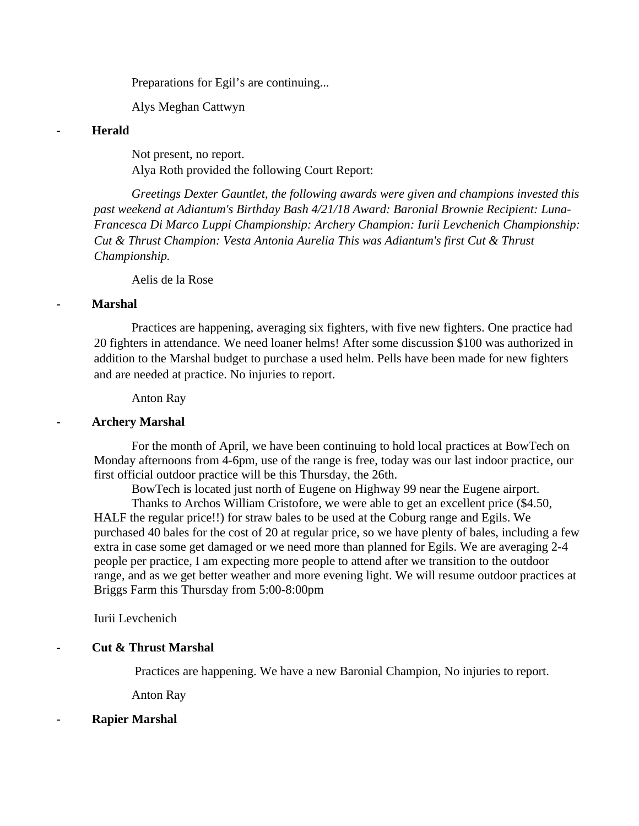Preparations for Egil's are continuing...

Alys Meghan Cattwyn

### **- Herald**

Not present, no report. Alya Roth provided the following Court Report:

*Greetings Dexter Gauntlet, the following awards were given and champions invested this past weekend at Adiantum's Birthday Bash 4/21/18 Award: Baronial Brownie Recipient: Luna-Francesca Di Marco Luppi Championship: Archery Champion: Iurii Levchenich Championship: Cut & Thrust Champion: Vesta Antonia Aurelia This was Adiantum's first Cut & Thrust Championship.*

Aelis de la Rose

## **- Marshal**

Practices are happening, averaging six fighters, with five new fighters. One practice had 20 fighters in attendance. We need loaner helms! After some discussion \$100 was authorized in addition to the Marshal budget to purchase a used helm. Pells have been made for new fighters and are needed at practice. No injuries to report.

Anton Ray

## **- Archery Marshal**

For the month of April, we have been continuing to hold local practices at BowTech on Monday afternoons from 4-6pm, use of the range is free, today was our last indoor practice, our first official outdoor practice will be this Thursday, the 26th.

BowTech is located just north of Eugene on Highway 99 near the Eugene airport.

Thanks to Archos William Cristofore, we were able to get an excellent price (\$4.50, HALF the regular price!!) for straw bales to be used at the Coburg range and Egils. We purchased 40 bales for the cost of 20 at regular price, so we have plenty of bales, including a few extra in case some get damaged or we need more than planned for Egils. We are averaging 2-4 people per practice, I am expecting more people to attend after we transition to the outdoor range, and as we get better weather and more evening light. We will resume outdoor practices at Briggs Farm this Thursday from 5:00-8:00pm

Iurii Levchenich

## **- Cut & Thrust Marshal**

Practices are happening. We have a new Baronial Champion, No injuries to report.

Anton Ray

#### **- Rapier Marshal**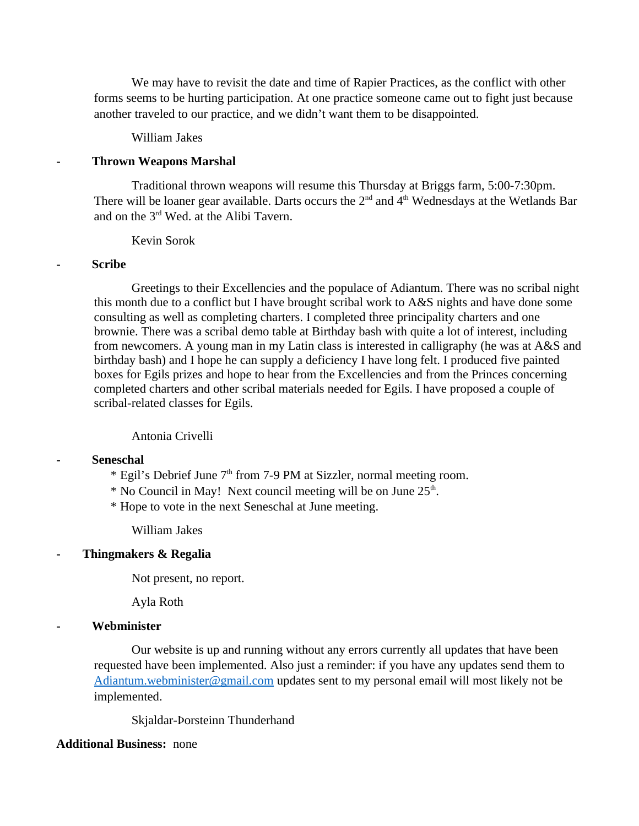We may have to revisit the date and time of Rapier Practices, as the conflict with other forms seems to be hurting participation. At one practice someone came out to fight just because another traveled to our practice, and we didn't want them to be disappointed.

#### William Jakes

#### **- Thrown Weapons Marshal**

Traditional thrown weapons will resume this Thursday at Briggs farm, 5:00-7:30pm. There will be loaner gear available. Darts occurs the  $2<sup>nd</sup>$  and  $4<sup>th</sup>$  Wednesdays at the Wetlands Bar and on the  $3<sup>rd</sup>$  Wed. at the Alibi Tavern.

### Kevin Sorok

### **- Scribe**

Greetings to their Excellencies and the populace of Adiantum. There was no scribal night this month due to a conflict but I have brought scribal work to A&S nights and have done some consulting as well as completing charters. I completed three principality charters and one brownie. There was a scribal demo table at Birthday bash with quite a lot of interest, including from newcomers. A young man in my Latin class is interested in calligraphy (he was at A&S and birthday bash) and I hope he can supply a deficiency I have long felt. I produced five painted boxes for Egils prizes and hope to hear from the Excellencies and from the Princes concerning completed charters and other scribal materials needed for Egils. I have proposed a couple of scribal-related classes for Egils.

### Antonia Crivelli

#### **- Seneschal**

- \* Egil's Debrief June 7<sup>th</sup> from 7-9 PM at Sizzler, normal meeting room.
- \* No Council in May! Next council meeting will be on June 25<sup>th</sup>.
- \* Hope to vote in the next Seneschal at June meeting.

William Jakes

### **- Thingmakers & Regalia**

Not present, no report.

Ayla Roth

#### **- Webminister**

Our website is up and running without any errors currently all updates that have been requested have been implemented. Also just a reminder: if you have any updates send them to [Adiantum.webminister@gmail.com](mailto:Adiantum.webminister@gmail.com) updates sent to my personal email will most likely not be implemented.

Skjaldar-Þorsteinn Thunderhand

#### **Additional Business:** none